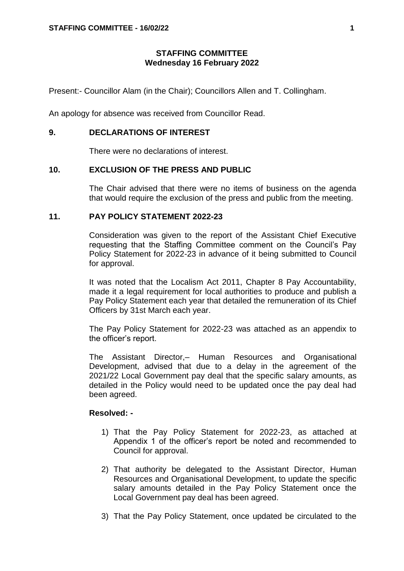## **STAFFING COMMITTEE Wednesday 16 February 2022**

Present:- Councillor Alam (in the Chair); Councillors Allen and T. Collingham.

An apology for absence was received from Councillor Read.

## **9. DECLARATIONS OF INTEREST**

There were no declarations of interest.

## **10. EXCLUSION OF THE PRESS AND PUBLIC**

The Chair advised that there were no items of business on the agenda that would require the exclusion of the press and public from the meeting.

## **11. PAY POLICY STATEMENT 2022-23**

Consideration was given to the report of the Assistant Chief Executive requesting that the Staffing Committee comment on the Council's Pay Policy Statement for 2022-23 in advance of it being submitted to Council for approval.

It was noted that the Localism Act 2011, Chapter 8 Pay Accountability, made it a legal requirement for local authorities to produce and publish a Pay Policy Statement each year that detailed the remuneration of its Chief Officers by 31st March each year.

The Pay Policy Statement for 2022-23 was attached as an appendix to the officer's report.

The Assistant Director,– Human Resources and Organisational Development, advised that due to a delay in the agreement of the 2021/22 Local Government pay deal that the specific salary amounts, as detailed in the Policy would need to be updated once the pay deal had been agreed.

#### **Resolved: -**

- 1) That the Pay Policy Statement for 2022-23, as attached at Appendix 1 of the officer's report be noted and recommended to Council for approval.
- 2) That authority be delegated to the Assistant Director, Human Resources and Organisational Development, to update the specific salary amounts detailed in the Pay Policy Statement once the Local Government pay deal has been agreed.
- 3) That the Pay Policy Statement, once updated be circulated to the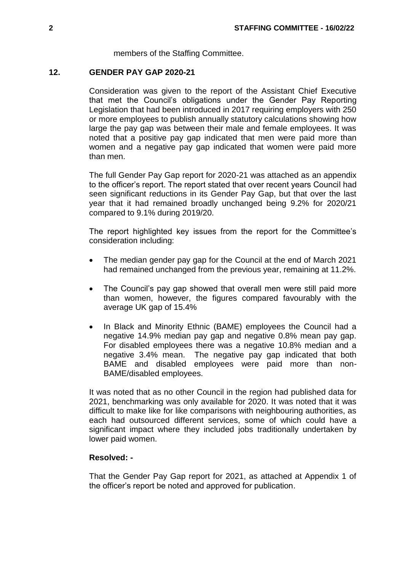members of the Staffing Committee.

## **12. GENDER PAY GAP 2020-21**

Consideration was given to the report of the Assistant Chief Executive that met the Council's obligations under the Gender Pay Reporting Legislation that had been introduced in 2017 requiring employers with 250 or more employees to publish annually statutory calculations showing how large the pay gap was between their male and female employees. It was noted that a positive pay gap indicated that men were paid more than women and a negative pay gap indicated that women were paid more than men.

The full Gender Pay Gap report for 2020-21 was attached as an appendix to the officer's report. The report stated that over recent years Council had seen significant reductions in its Gender Pay Gap, but that over the last year that it had remained broadly unchanged being 9.2% for 2020/21 compared to 9.1% during 2019/20.

The report highlighted key issues from the report for the Committee's consideration including:

- The median gender pay gap for the Council at the end of March 2021 had remained unchanged from the previous year, remaining at 11.2%.
- The Council's pay gap showed that overall men were still paid more than women, however, the figures compared favourably with the average UK gap of 15.4%
- In Black and Minority Ethnic (BAME) employees the Council had a negative 14.9% median pay gap and negative 0.8% mean pay gap. For disabled employees there was a negative 10.8% median and a negative 3.4% mean. The negative pay gap indicated that both BAME and disabled employees were paid more than non-BAME/disabled employees.

It was noted that as no other Council in the region had published data for 2021, benchmarking was only available for 2020. It was noted that it was difficult to make like for like comparisons with neighbouring authorities, as each had outsourced different services, some of which could have a significant impact where they included jobs traditionally undertaken by lower paid women.

## **Resolved: -**

That the Gender Pay Gap report for 2021, as attached at Appendix 1 of the officer's report be noted and approved for publication.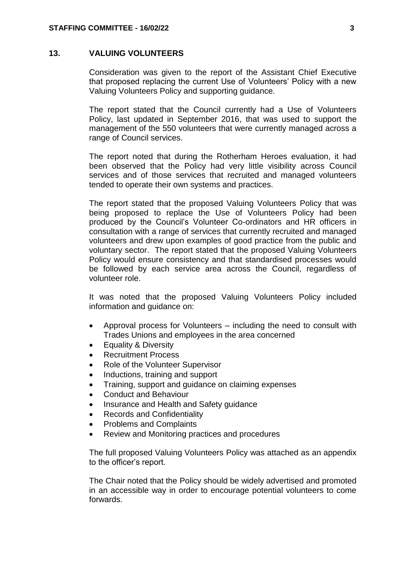## **13. VALUING VOLUNTEERS**

Consideration was given to the report of the Assistant Chief Executive that proposed replacing the current Use of Volunteers' Policy with a new Valuing Volunteers Policy and supporting guidance.

The report stated that the Council currently had a Use of Volunteers Policy, last updated in September 2016, that was used to support the management of the 550 volunteers that were currently managed across a range of Council services.

The report noted that during the Rotherham Heroes evaluation, it had been observed that the Policy had very little visibility across Council services and of those services that recruited and managed volunteers tended to operate their own systems and practices.

The report stated that the proposed Valuing Volunteers Policy that was being proposed to replace the Use of Volunteers Policy had been produced by the Council's Volunteer Co-ordinators and HR officers in consultation with a range of services that currently recruited and managed volunteers and drew upon examples of good practice from the public and voluntary sector. The report stated that the proposed Valuing Volunteers Policy would ensure consistency and that standardised processes would be followed by each service area across the Council, regardless of volunteer role.

It was noted that the proposed Valuing Volunteers Policy included information and guidance on:

- Approval process for Volunteers including the need to consult with Trades Unions and employees in the area concerned
- Equality & Diversity
- Recruitment Process
- Role of the Volunteer Supervisor
- Inductions, training and support
- Training, support and guidance on claiming expenses
- Conduct and Behaviour
- Insurance and Health and Safety guidance
- Records and Confidentiality
- Problems and Complaints
- Review and Monitoring practices and procedures

The full proposed Valuing Volunteers Policy was attached as an appendix to the officer's report.

The Chair noted that the Policy should be widely advertised and promoted in an accessible way in order to encourage potential volunteers to come forwards.